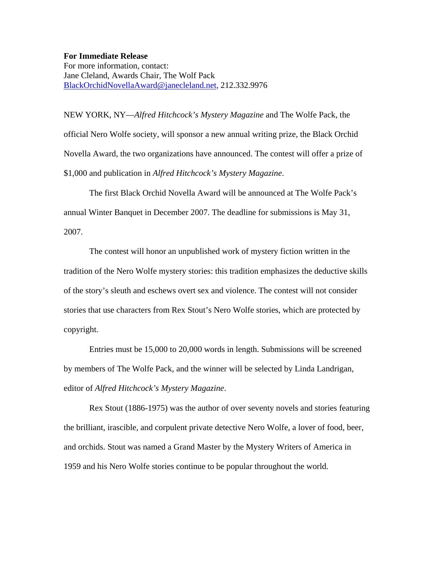**For Immediate Release** 

For more information, contact: Jane Cleland, Awards Chair, The Wolf Pack [BlackOrchidNovellaAward@janecleland.net](mailto:BlackOrchidNovellaAward@janecleland.net), 212.332.9976

NEW YORK, NY—*Alfred Hitchcock's Mystery Magazine* and The Wolfe Pack, the official Nero Wolfe society, will sponsor a new annual writing prize, the Black Orchid Novella Award, the two organizations have announced. The contest will offer a prize of \$1,000 and publication in *Alfred Hitchcock's Mystery Magazine*.

 The first Black Orchid Novella Award will be announced at The Wolfe Pack's annual Winter Banquet in December 2007. The deadline for submissions is May 31, 2007.

 The contest will honor an unpublished work of mystery fiction written in the tradition of the Nero Wolfe mystery stories: this tradition emphasizes the deductive skills of the story's sleuth and eschews overt sex and violence. The contest will not consider stories that use characters from Rex Stout's Nero Wolfe stories, which are protected by copyright.

 Entries must be 15,000 to 20,000 words in length. Submissions will be screened by members of The Wolfe Pack, and the winner will be selected by Linda Landrigan, editor of *Alfred Hitchcock's Mystery Magazine*.

 Rex Stout (1886-1975) was the author of over seventy novels and stories featuring the brilliant, irascible, and corpulent private detective Nero Wolfe, a lover of food, beer, and orchids. Stout was named a Grand Master by the Mystery Writers of America in 1959 and his Nero Wolfe stories continue to be popular throughout the world.